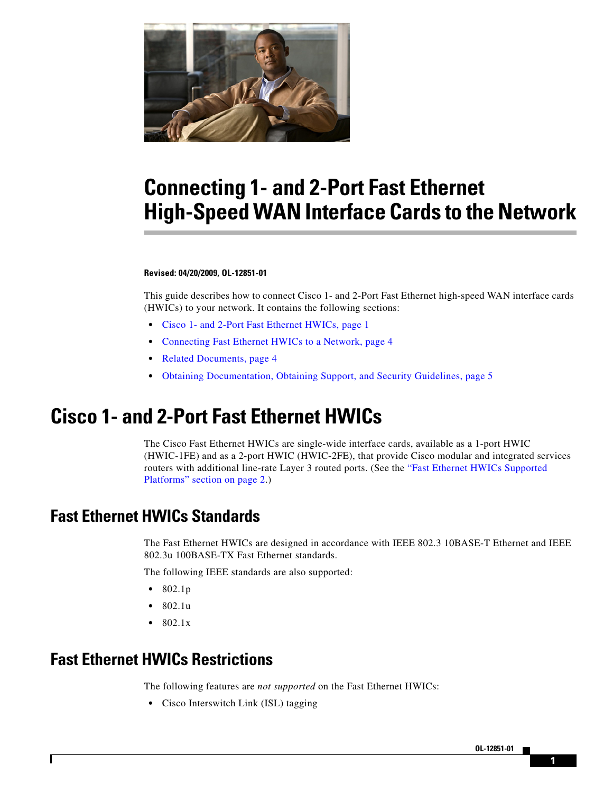

# **Connecting 1- and 2-Port Fast Ethernet High-Speed WAN Interface Cards to the Network**

#### **Revised: 04/20/2009, OL-12851-01**

This guide describes how to connect Cisco 1- and 2-Port Fast Ethernet high-speed WAN interface cards (HWICs) to your network. It contains the following sections:

- **•** [Cisco 1- and 2-Port Fast Ethernet HWICs, page 1](#page-0-0)
- **•** [Connecting Fast Ethernet HWICs to a Network, page 4](#page-3-0)
- [Related Documents, page 4](#page-3-1)
- **•** [Obtaining Documentation, Obtaining Support, and Security Guidelines, page 5](#page-4-0)

## <span id="page-0-0"></span>**Cisco 1- and 2-Port Fast Ethernet HWICs**

The Cisco Fast Ethernet HWICs are single-wide interface cards, available as a 1-port HWIC (HWIC-1FE) and as a 2-port HWIC (HWIC-2FE), that provide Cisco modular and integrated services routers with additional line-rate Layer 3 routed ports. (See the ["Fast Ethernet HWICs Supported](#page-1-0)  [Platforms" section on page 2](#page-1-0).)

### **Fast Ethernet HWICs Standards**

The Fast Ethernet HWICs are designed in accordance with IEEE 802.3 10BASE-T Ethernet and IEEE 802.3u 100BASE-TX Fast Ethernet standards.

The following IEEE standards are also supported:

- **•** 802.1p
- **•** 802.1u
- **•** 802.1x

### **Fast Ethernet HWICs Restrictions**

 $\mathbf I$ 

The following features are *not supported* on the Fast Ethernet HWICs:

**•** Cisco Interswitch Link (ISL) tagging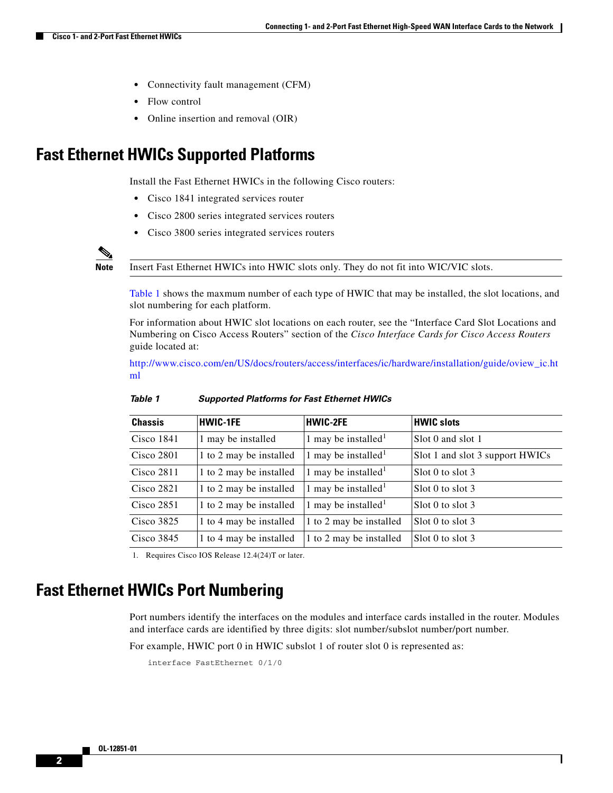- **•** Connectivity fault management (CFM)
- **•** Flow control
- **•** Online insertion and removal (OIR)

### <span id="page-1-0"></span>**Fast Ethernet HWICs Supported Platforms**

Install the Fast Ethernet HWICs in the following Cisco routers:

- **•** Cisco 1841 integrated services router
- **•** Cisco 2800 series integrated services routers
- **•** Cisco 3800 series integrated services routers



**Note** Insert Fast Ethernet HWICs into HWIC slots only. They do not fit into WIC/VIC slots.

[Table 1](#page-1-2) shows the maxmum number of each type of HWIC that may be installed, the slot locations, and slot numbering for each platform.

For information about HWIC slot locations on each router, see the "Interface Card Slot Locations and Numbering on Cisco Access Routers" section of the *Cisco Interface Cards for Cisco Access Routers* guide located at:

[http://www.cisco.com/en/US/docs/routers/access/interfaces/ic/hardware/installation/guide/oview\\_ic.ht](http://www.cisco.com/en/US/docs/routers/access/interfaces/ic/hardware/installation/guide/oview_ic.html) ml

<span id="page-1-2"></span>

| <b>Chassis</b> | <b>HWIC-1FE</b>         | <b>HWIC-2FE</b>                 | <b>HWIC slots</b>               |
|----------------|-------------------------|---------------------------------|---------------------------------|
| $Cisco$ 1841   | 1 may be installed      | 1 may be installed <sup>1</sup> | Slot 0 and slot 1               |
| Cisco 2801     | 1 to 2 may be installed | 1 may be installed <sup>1</sup> | Slot 1 and slot 3 support HWICs |
| Cisco 2811     | 1 to 2 may be installed | 1 may be installed <sup>1</sup> | Slot 0 to slot 3                |
| Cisco 2821     | 1 to 2 may be installed | 1 may be installed <sup>1</sup> | $S1o1$ o to slot 3              |
| Cisco 2851     | 1 to 2 may be installed | 1 may be installed <sup>1</sup> | Slot 0 to slot 3                |
| Cisco $3825$   | 1 to 4 may be installed | 1 to 2 may be installed         | $S1o1$ o to slot 3              |
| Cisco $3845$   | 1 to 4 may be installed | 1 to 2 may be installed         | $S1ot 0$ to slot 3              |

#### *Table 1 Supported Platforms for Fast Ethernet HWICs*

<span id="page-1-1"></span>1. Requires Cisco IOS Release 12.4(24)T or later.

### **Fast Ethernet HWICs Port Numbering**

Port numbers identify the interfaces on the modules and interface cards installed in the router. Modules and interface cards are identified by three digits: slot number/subslot number/port number.

Ι

For example, HWIC port 0 in HWIC subslot 1 of router slot 0 is represented as:

```
interface FastEthernet 0/1/0
```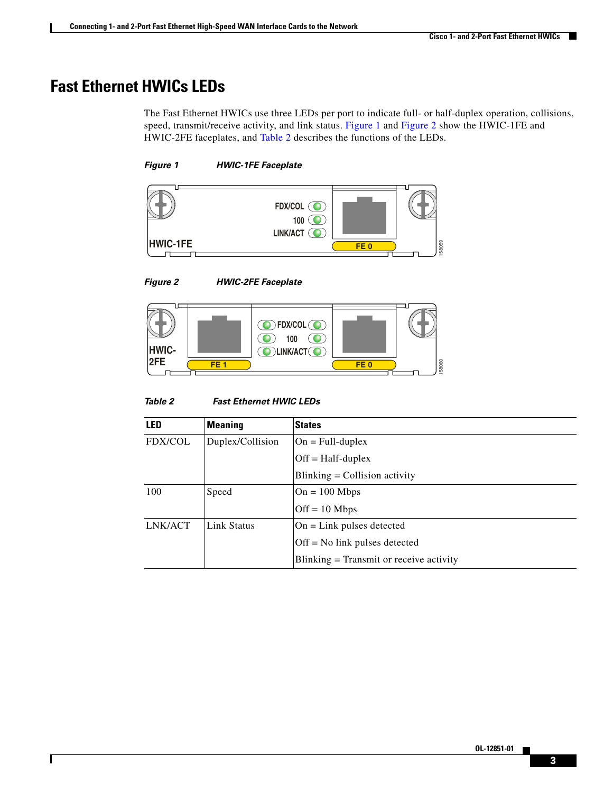## **Fast Ethernet HWICs LEDs**

The Fast Ethernet HWICs use three LEDs per port to indicate full- or half-duplex operation, collisions, speed, transmit/receive activity, and link status. [Figure 1](#page-2-0) and [Figure 2](#page-2-1) show the HWIC-1FE and HWIC-2FE faceplates, and [Table 2](#page-2-2) describes the functions of the LEDs.

#### <span id="page-2-0"></span>*Figure 1 HWIC-1FE Faceplate*



<span id="page-2-1"></span>*Figure 2 HWIC-2FE Faceplate*

 $\overline{\phantom{a}}$ 



#### <span id="page-2-2"></span>*Table 2 Fast Ethernet HWIC LEDs*

| 12FE<br>58060<br>FE <sub>1</sub><br>FE <sub>0</sub> |                  |                                           |  |
|-----------------------------------------------------|------------------|-------------------------------------------|--|
| Table 2<br><b>Fast Ethernet HWIC LEDs</b>           |                  |                                           |  |
| <b>LED</b>                                          | <b>Meaning</b>   | <b>States</b>                             |  |
| <b>FDX/COL</b>                                      | Duplex/Collision | $On = Full-duplex$                        |  |
|                                                     |                  | $Off = Half-duplex$                       |  |
|                                                     |                  | $Blinking = Collision activity$           |  |
| 100                                                 | Speed            | $On = 100 Mbps$                           |  |
|                                                     |                  | $Off = 10$ Mbps                           |  |
| LNK/ACT                                             | Link Status      | $On = Link$ pulses detected               |  |
|                                                     |                  | $Off = No$ link pulses detected           |  |
|                                                     |                  | $Blinking = Transmit$ or receive activity |  |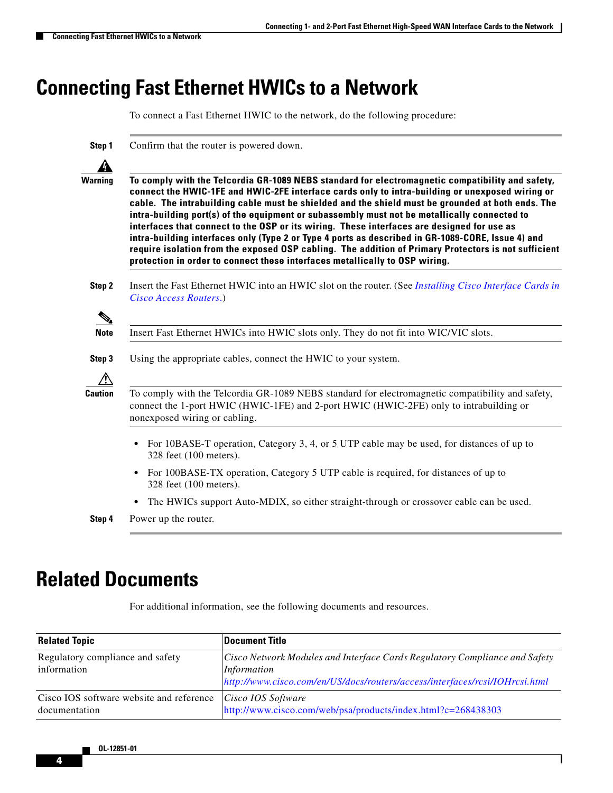## <span id="page-3-0"></span>**Connecting Fast Ethernet HWICs to a Network**

To connect a Fast Ethernet HWIC to the network, do the following procedure:

**Step 1** Confirm that the router is powered down.



**Warning To comply with the Telcordia GR-1089 NEBS standard for electromagnetic compatibility and safety, connect the HWIC-1FE and HWIC-2FE interface cards only to intra-building or unexposed wiring or cable. The intrabuilding cable must be shielded and the shield must be grounded at both ends. The intra-building port(s) of the equipment or subassembly must not be metallically connected to interfaces that connect to the OSP or its wiring. These interfaces are designed for use as intra-building interfaces only (Type 2 or Type 4 ports as described in GR-1089-CORE, Issue 4) and require isolation from the exposed OSP cabling. The addition of Primary Protectors is not sufficient protection in order to connect these interfaces metallically to OSP wiring.**

**Step 2** Insert the Fast Ethernet HWIC into an HWIC slot on the router. (See *[Installing Cisco Interface Cards in](http://www.cisco.com/en/US/docs/routers/access/interfaces/ic/hardware/installation/guide/inst_ic.html)  [Cisco Access Routers](http://www.cisco.com/en/US/docs/routers/access/interfaces/ic/hardware/installation/guide/inst_ic.html)*.)

**Note** Insert Fast Ethernet HWICs into HWIC slots only. They do not fit into WIC/VIC slots.





**Caution** To comply with the Telcordia GR-1089 NEBS standard for electromagnetic compatibility and safety, connect the 1-port HWIC (HWIC-1FE) and 2-port HWIC (HWIC-2FE) only to intrabuilding or nonexposed wiring or cabling.

- For 10BASE-T operation, Category 3, 4, or 5 UTP cable may be used, for distances of up to 328 feet (100 meters).
- For 100BASE-TX operation, Category 5 UTP cable is required, for distances of up to 328 feet (100 meters).
- The HWICs support Auto-MDIX, so either straight-through or crossover cable can be used.
- **Step 4** Power up the router.

## <span id="page-3-1"></span>**Related Documents**

For additional information, see the following documents and resources.

| <b>Related Topic</b>                                      | <b>Document Title</b>                                                                                                                                                    |
|-----------------------------------------------------------|--------------------------------------------------------------------------------------------------------------------------------------------------------------------------|
| Regulatory compliance and safety<br>information           | Cisco Network Modules and Interface Cards Regulatory Compliance and Safety<br>Information<br>http://www.cisco.com/en/US/docs/routers/access/interfaces/rcsi/IOHrcsi.html |
| Cisco IOS software website and reference<br>documentation | Cisco IOS Software<br>http://www.cisco.com/web/psa/products/index.html?c=268438303                                                                                       |

Ι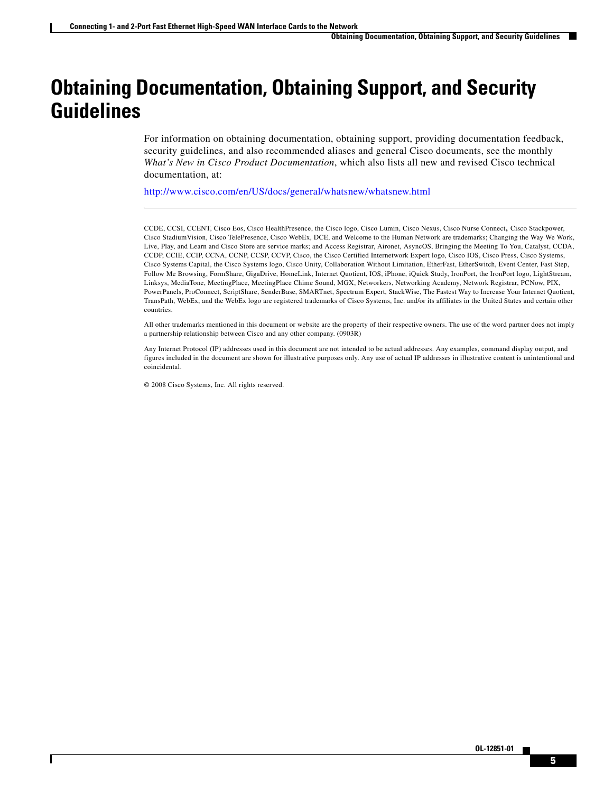## <span id="page-4-0"></span>**Obtaining Documentation, Obtaining Support, and Security Guidelines**

For information on obtaining documentation, obtaining support, providing documentation feedback, security guidelines, and also recommended aliases and general Cisco documents, see the monthly *What's New in Cisco Product Documentation*, which also lists all new and revised Cisco technical documentation, at:

<http://www.cisco.com/en/US/docs/general/whatsnew/whatsnew.html>

CCDE, CCSI, CCENT, Cisco Eos, Cisco HealthPresence, the Cisco logo, Cisco Lumin, Cisco Nexus, Cisco Nurse Connect, Cisco Stackpower, Cisco StadiumVision, Cisco TelePresence, Cisco WebEx, DCE, and Welcome to the Human Network are trademarks; Changing the Way We Work, Live, Play, and Learn and Cisco Store are service marks; and Access Registrar, Aironet, AsyncOS, Bringing the Meeting To You, Catalyst, CCDA, CCDP, CCIE, CCIP, CCNA, CCNP, CCSP, CCVP, Cisco, the Cisco Certified Internetwork Expert logo, Cisco IOS, Cisco Press, Cisco Systems, Cisco Systems Capital, the Cisco Systems logo, Cisco Unity, Collaboration Without Limitation, EtherFast, EtherSwitch, Event Center, Fast Step, Follow Me Browsing, FormShare, GigaDrive, HomeLink, Internet Quotient, IOS, iPhone, iQuick Study, IronPort, the IronPort logo, LightStream, Linksys, MediaTone, MeetingPlace, MeetingPlace Chime Sound, MGX, Networkers, Networking Academy, Network Registrar, PCNow, PIX, PowerPanels, ProConnect, ScriptShare, SenderBase, SMARTnet, Spectrum Expert, StackWise, The Fastest Way to Increase Your Internet Quotient, TransPath, WebEx, and the WebEx logo are registered trademarks of Cisco Systems, Inc. and/or its affiliates in the United States and certain other countries.

All other trademarks mentioned in this document or website are the property of their respective owners. The use of the word partner does not imply a partnership relationship between Cisco and any other company. (0903R)

Any Internet Protocol (IP) addresses used in this document are not intended to be actual addresses. Any examples, command display output, and figures included in the document are shown for illustrative purposes only. Any use of actual IP addresses in illustrative content is unintentional and coincidental.

© 2008 Cisco Systems, Inc. All rights reserved.

 $\mathbf I$